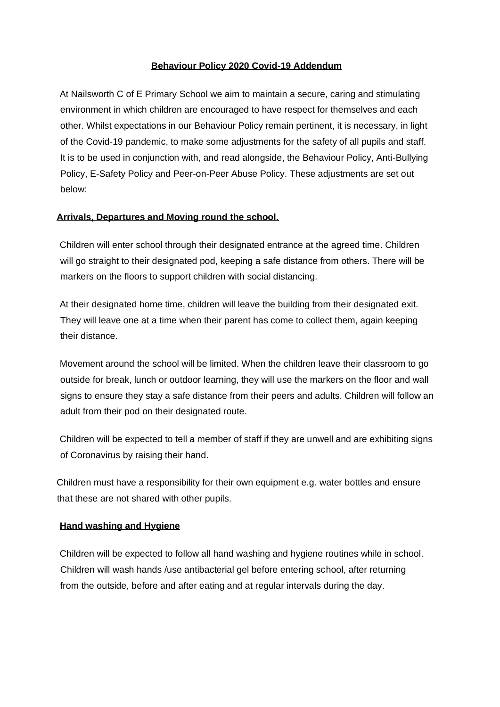#### **Behaviour Policy 2020 Covid-19 Addendum**

At Nailsworth C of E Primary School we aim to maintain a secure, caring and stimulating environment in which children are encouraged to have respect for themselves and each other. Whilst expectations in our Behaviour Policy remain pertinent, it is necessary, in light of the Covid-19 pandemic, to make some adjustments for the safety of all pupils and staff. It is to be used in conjunction with, and read alongside, the Behaviour Policy, Anti-Bullying Policy, E-Safety Policy and Peer-on-Peer Abuse Policy. These adjustments are set out below:

## **Arrivals, Departures and Moving round the school.**

Children will enter school through their designated entrance at the agreed time. Children will go straight to their designated pod, keeping a safe distance from others. There will be markers on the floors to support children with social distancing.

At their designated home time, children will leave the building from their designated exit. They will leave one at a time when their parent has come to collect them, again keeping their distance.

Movement around the school will be limited. When the children leave their classroom to go outside for break, lunch or outdoor learning, they will use the markers on the floor and wall signs to ensure they stay a safe distance from their peers and adults. Children will follow an adult from their pod on their designated route.

Children will be expected to tell a member of staff if they are unwell and are exhibiting signs of Coronavirus by raising their hand.

Children must have a responsibility for their own equipment e.g. water bottles and ensure that these are not shared with other pupils.

## **Hand washing and Hygiene**

Children will be expected to follow all hand washing and hygiene routines while in school. Children will wash hands /use antibacterial gel before entering school, after returning from the outside, before and after eating and at regular intervals during the day.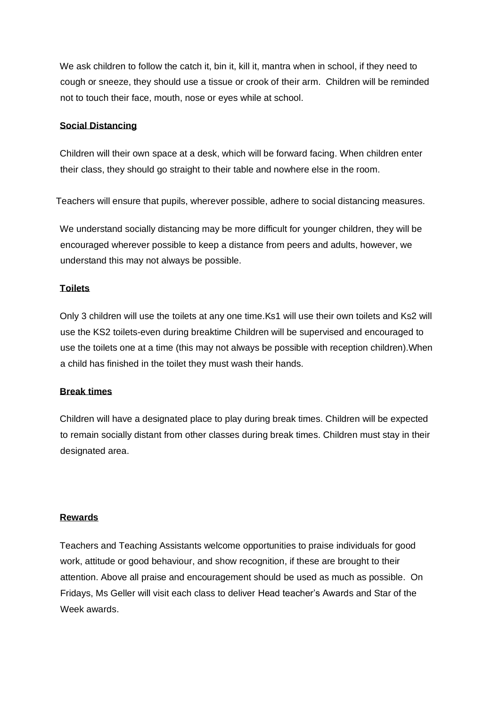We ask children to follow the catch it, bin it, kill it, mantra when in school, if they need to cough or sneeze, they should use a tissue or crook of their arm. Children will be reminded not to touch their face, mouth, nose or eyes while at school.

#### **Social Distancing**

Children will their own space at a desk, which will be forward facing. When children enter their class, they should go straight to their table and nowhere else in the room.

Teachers will ensure that pupils, wherever possible, adhere to social distancing measures.

We understand socially distancing may be more difficult for younger children, they will be encouraged wherever possible to keep a distance from peers and adults, however, we understand this may not always be possible.

## **Toilets**

Only 3 children will use the toilets at any one time.Ks1 will use their own toilets and Ks2 will use the KS2 toilets-even during breaktime Children will be supervised and encouraged to use the toilets one at a time (this may not always be possible with reception children).When a child has finished in the toilet they must wash their hands.

#### **Break times**

Children will have a designated place to play during break times. Children will be expected to remain socially distant from other classes during break times. Children must stay in their designated area.

## **Rewards**

Teachers and Teaching Assistants welcome opportunities to praise individuals for good work, attitude or good behaviour, and show recognition, if these are brought to their attention. Above all praise and encouragement should be used as much as possible. On Fridays, Ms Geller will visit each class to deliver Head teacher's Awards and Star of the Week awards.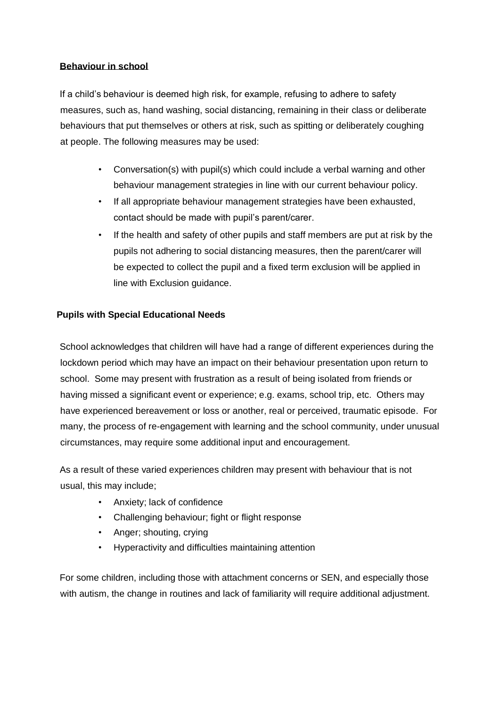# **Behaviour in school**

If a child's behaviour is deemed high risk, for example, refusing to adhere to safety measures, such as, hand washing, social distancing, remaining in their class or deliberate behaviours that put themselves or others at risk, such as spitting or deliberately coughing at people. The following measures may be used:

- Conversation(s) with pupil(s) which could include a verbal warning and other behaviour management strategies in line with our current behaviour policy.
- If all appropriate behaviour management strategies have been exhausted, contact should be made with pupil's parent/carer.
- If the health and safety of other pupils and staff members are put at risk by the pupils not adhering to social distancing measures, then the parent/carer will be expected to collect the pupil and a fixed term exclusion will be applied in line with Exclusion guidance.

# **Pupils with Special Educational Needs**

School acknowledges that children will have had a range of different experiences during the lockdown period which may have an impact on their behaviour presentation upon return to school. Some may present with frustration as a result of being isolated from friends or having missed a significant event or experience; e.g. exams, school trip, etc. Others may have experienced bereavement or loss or another, real or perceived, traumatic episode. For many, the process of re-engagement with learning and the school community, under unusual circumstances, may require some additional input and encouragement.

As a result of these varied experiences children may present with behaviour that is not usual, this may include;

- Anxiety; lack of confidence
- Challenging behaviour; fight or flight response
- Anger; shouting, crying
- Hyperactivity and difficulties maintaining attention

For some children, including those with attachment concerns or SEN, and especially those with autism, the change in routines and lack of familiarity will require additional adjustment.